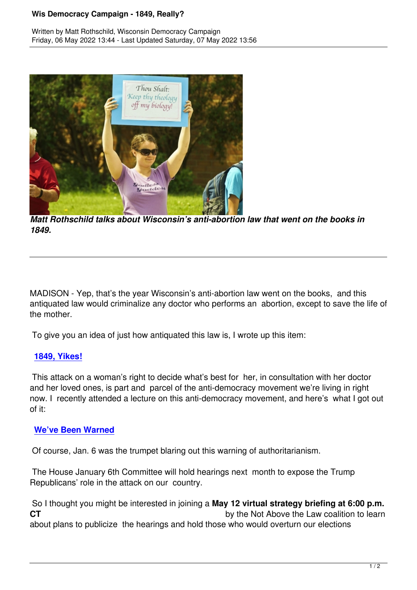

*Matt Rothschild talks about Wisconsin's anti-abortion law that went on the books in 1849.*

MADISON - Yep, that's the year Wisconsin's anti-abortion law went on the books, and this antiquated law would criminalize any doctor who performs an abortion, except to save the life of the mother.

To give you an idea of just how antiquated this law is, I wrote up this item:

### **1849, Yikes!**

 This attack on a woman's right to decide what's best for her, in consultation with her doctor [and her loved](https://wisdc.us14.list-manage.com/track/click?u=62dc3644cc384e150cd656238&id=78e3e2dabf&e=05a33fc7ad) ones, is part and parcel of the anti-democracy movement we're living in right now. I recently attended a lecture on this anti-democracy movement, and here's what I got out of it:

### **We've Been Warned**

Of course, Jan. 6 was the trumpet blaring out this warning of authoritarianism.

 [The House January 6t](https://wisdc.us14.list-manage.com/track/click?u=62dc3644cc384e150cd656238&id=32a4ad99fb&e=05a33fc7ad)h Committee will hold hearings next month to expose the Trump Republicans' role in the attack on our country.

 So I thought you might be interested in joining a **May 12 virtual strategy briefing at 6:00 p.m. CT** by the Not Above the Law coalition to learn about plans to publicize the hearings and hold those who would overturn our elections